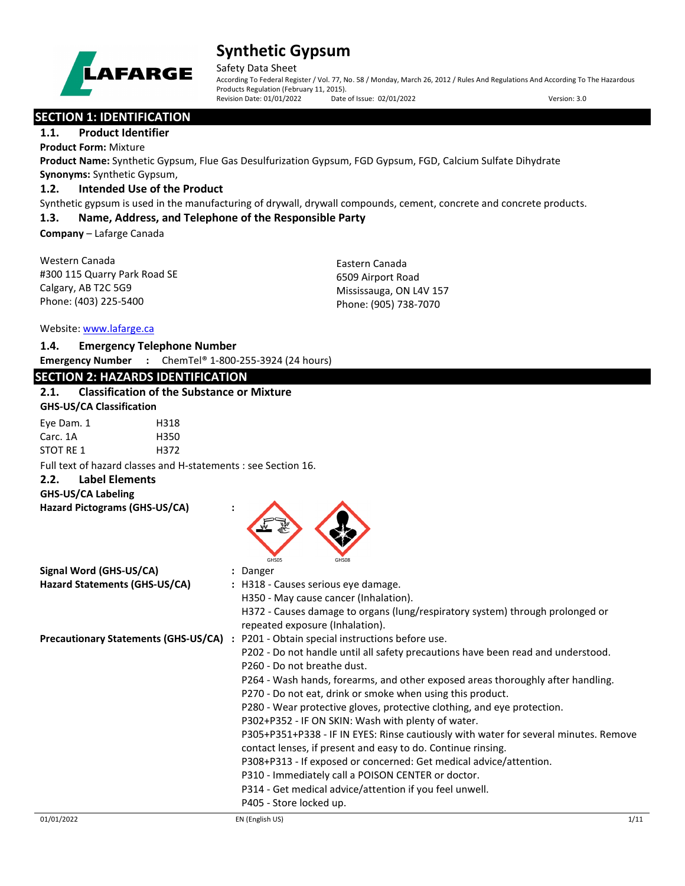

Safety Data Sheet

According To Federal Register / Vol. 77, No. 58 / Monday, March 26, 2012 / Rules And Regulations And According To The Hazardous Products Regulation (February 11, 2015). Revision Date: 01/01/2022 Date of Issue: 02/01/2022 Version: 3.0

## **SECTION 1: IDENTIFICATION**

### **1.1. Product Identifier**

**Product Form:** Mixture

**Product Name:** Synthetic Gypsum, Flue Gas Desulfurization Gypsum, FGD Gypsum, FGD, Calcium Sulfate Dihydrate **Synonyms:** Synthetic Gypsum,

## **1.2. Intended Use of the Product**

Synthetic gypsum is used in the manufacturing of drywall, drywall compounds, cement, concrete and concrete products.

## **1.3. Name, Address, and Telephone of the Responsible Party**

**Company** – Lafarge Canada

Western Canada #300 115 Quarry Park Road SE Calgary, AB T2C 5G9 Phone: (403) 225-5400

Eastern Canada 6509 Airport Road Mississauga, ON L4V 157 Phone: (905) 738-7070

### Website: [www.lafarge.ca](file://leon/customers/CUSTOMERS/Lafarge_North_America_Inc/Projects/Authoring_20180316/Batch_Folder/B_Draft_SDS/MS_Word_Files/www.lafarge.ca)

| 1.4. | <b>Emergency Telephone Number</b> |  |
|------|-----------------------------------|--|
|      |                                   |  |

**Emergency Number :** ChemTel® 1-800-255-3924 (24 hours)

## **SECTION 2: HAZARDS IDENTIFICATION**

## **2.1. Classification of the Substance or Mixture**

| Eye Dam. 1 | H318 |
|------------|------|
| Carc. 1A   | H350 |
| STOT RE 1  | H372 |

Full text of hazard classes and H-statements : see Section 16.

**2.2. Label Elements**

**GHS-US/CA Labeling**

**Hazard Pictograms (GHS-US/CA) :**



| Signal Word (GHS-US/CA)       | : Danger                                                                              |
|-------------------------------|---------------------------------------------------------------------------------------|
| Hazard Statements (GHS-US/CA) | : H318 - Causes serious eye damage.                                                   |
|                               | H350 - May cause cancer (Inhalation).                                                 |
|                               | H372 - Causes damage to organs (lung/respiratory system) through prolonged or         |
|                               | repeated exposure (Inhalation).                                                       |
|                               | Precautionary Statements (GHS-US/CA) : P201 - Obtain special instructions before use. |
|                               | P202 - Do not handle until all safety precautions have been read and understood.      |
|                               | P260 - Do not breathe dust.                                                           |
|                               | P264 - Wash hands, forearms, and other exposed areas thoroughly after handling.       |
|                               | P270 - Do not eat, drink or smoke when using this product.                            |
|                               | P280 - Wear protective gloves, protective clothing, and eye protection.               |
|                               | P302+P352 - IF ON SKIN: Wash with plenty of water.                                    |
|                               | P305+P351+P338 - IF IN EYES: Rinse cautiously with water for several minutes. Remove  |
|                               | contact lenses, if present and easy to do. Continue rinsing.                          |
|                               | P308+P313 - If exposed or concerned: Get medical advice/attention.                    |
|                               | P310 - Immediately call a POISON CENTER or doctor.                                    |
|                               | P314 - Get medical advice/attention if you feel unwell.                               |
|                               | P405 - Store locked up.                                                               |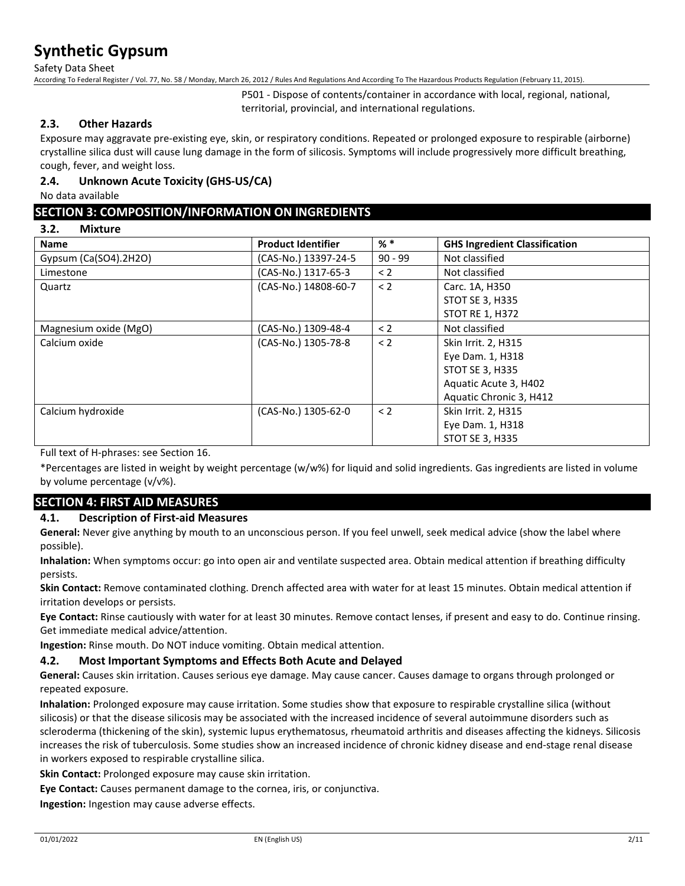Safety Data Sheet

According To Federal Register / Vol. 77, No. 58 / Monday, March 26, 2012 / Rules And Regulations And According To The Hazardous Products Regulation (February 11, 2015).

P501 - Dispose of contents/container in accordance with local, regional, national, territorial, provincial, and international regulations.

### **2.3. Other Hazards**

Exposure may aggravate pre-existing eye, skin, or respiratory conditions. Repeated or prolonged exposure to respirable (airborne) crystalline silica dust will cause lung damage in the form of silicosis. Symptoms will include progressively more difficult breathing, cough, fever, and weight loss.

## **2.4. Unknown Acute Toxicity (GHS-US/CA)**

No data available

## **SECTION 3: COMPOSITION/INFORMATION ON INGREDIENTS**

#### **3.2. Mixture**

| <b>Name</b>           | <b>Product Identifier</b> | $%$ $*$   | <b>GHS Ingredient Classification</b> |
|-----------------------|---------------------------|-----------|--------------------------------------|
| Gypsum (Ca(SO4).2H2O) | (CAS-No.) 13397-24-5      | $90 - 99$ | Not classified                       |
| Limestone             | (CAS-No.) 1317-65-3       | $\leq$ 2  | Not classified                       |
| Quartz                | (CAS-No.) 14808-60-7      | $\leq$ 2  | Carc. 1A, H350                       |
|                       |                           |           | <b>STOT SE 3, H335</b>               |
|                       |                           |           | <b>STOT RE 1, H372</b>               |
| Magnesium oxide (MgO) | (CAS-No.) 1309-48-4       | $\leq$ 2  | Not classified                       |
| Calcium oxide         | (CAS-No.) 1305-78-8       | < 2       | Skin Irrit. 2, H315                  |
|                       |                           |           | Eye Dam. 1, H318                     |
|                       |                           |           | <b>STOT SE 3, H335</b>               |
|                       |                           |           | Aquatic Acute 3, H402                |
|                       |                           |           | Aquatic Chronic 3, H412              |
| Calcium hydroxide     | (CAS-No.) 1305-62-0       | $\lt 2$   | Skin Irrit. 2, H315                  |
|                       |                           |           | Eye Dam. 1, H318                     |
|                       |                           |           | <b>STOT SE 3, H335</b>               |

Full text of H-phrases: see Section 16.

\*Percentages are listed in weight by weight percentage (w/w%) for liquid and solid ingredients. Gas ingredients are listed in volume by volume percentage (v/v%).

## **SECTION 4: FIRST AID MEASURES**

### **4.1. Description of First-aid Measures**

**General:** Never give anything by mouth to an unconscious person. If you feel unwell, seek medical advice (show the label where possible).

**Inhalation:** When symptoms occur: go into open air and ventilate suspected area. Obtain medical attention if breathing difficulty persists.

**Skin Contact:** Remove contaminated clothing. Drench affected area with water for at least 15 minutes. Obtain medical attention if irritation develops or persists.

**Eye Contact:** Rinse cautiously with water for at least 30 minutes. Remove contact lenses, if present and easy to do. Continue rinsing. Get immediate medical advice/attention.

**Ingestion:** Rinse mouth. Do NOT induce vomiting. Obtain medical attention.

### **4.2. Most Important Symptoms and Effects Both Acute and Delayed**

**General:** Causes skin irritation. Causes serious eye damage. May cause cancer. Causes damage to organs through prolonged or repeated exposure.

**Inhalation:** Prolonged exposure may cause irritation. Some studies show that exposure to respirable crystalline silica (without silicosis) or that the disease silicosis may be associated with the increased incidence of several autoimmune disorders such as scleroderma (thickening of the skin), systemic lupus erythematosus, rheumatoid arthritis and diseases affecting the kidneys. Silicosis increases the risk of tuberculosis. Some studies show an increased incidence of chronic kidney disease and end-stage renal disease in workers exposed to respirable crystalline silica.

**Skin Contact:** Prolonged exposure may cause skin irritation.

**Eye Contact:** Causes permanent damage to the cornea, iris, or conjunctiva.

**Ingestion:** Ingestion may cause adverse effects.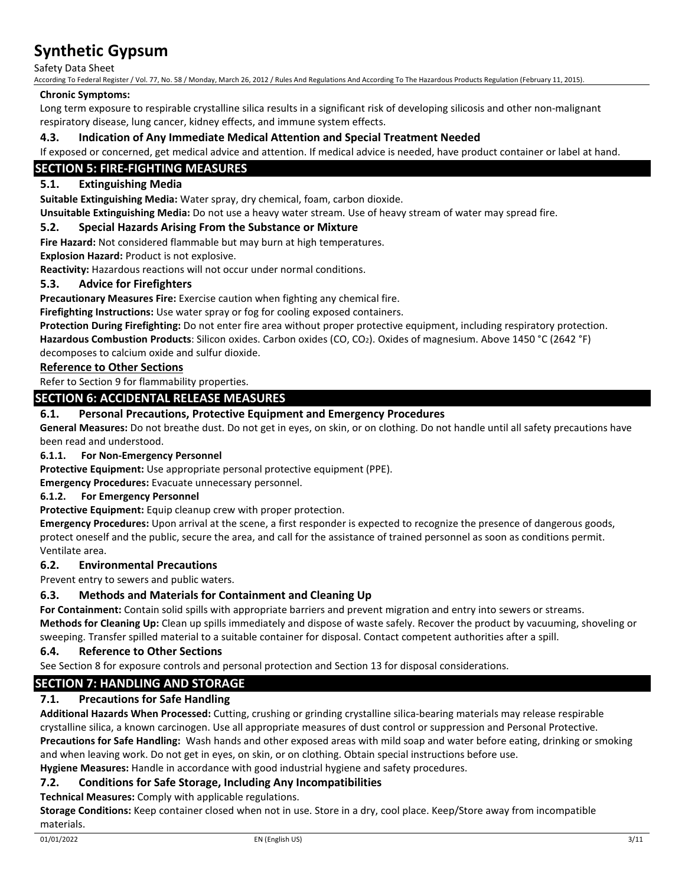Safety Data Sheet

According To Federal Register / Vol. 77, No. 58 / Monday, March 26, 2012 / Rules And Regulations And According To The Hazardous Products Regulation (February 11, 2015).

#### **Chronic Symptoms:**

Long term exposure to respirable crystalline silica results in a significant risk of developing silicosis and other non-malignant respiratory disease, lung cancer, kidney effects, and immune system effects.

### **4.3. Indication of Any Immediate Medical Attention and Special Treatment Needed**

If exposed or concerned, get medical advice and attention. If medical advice is needed, have product container or label at hand.

## **SECTION 5: FIRE-FIGHTING MEASURES**

## **5.1. Extinguishing Media**

**Suitable Extinguishing Media:** Water spray, dry chemical, foam, carbon dioxide.

**Unsuitable Extinguishing Media:** Do not use a heavy water stream. Use of heavy stream of water may spread fire.

#### **5.2. Special Hazards Arising From the Substance or Mixture**

**Fire Hazard:** Not considered flammable but may burn at high temperatures.

**Explosion Hazard:** Product is not explosive.

**Reactivity:** Hazardous reactions will not occur under normal conditions.

#### **5.3. Advice for Firefighters**

**Precautionary Measures Fire:** Exercise caution when fighting any chemical fire.

**Firefighting Instructions:** Use water spray or fog for cooling exposed containers.

**Protection During Firefighting:** Do not enter fire area without proper protective equipment, including respiratory protection.

**Hazardous Combustion Products**: Silicon oxides. Carbon oxides (CO, CO2). Oxides of magnesium. Above 1450 °C (2642 °F) decomposes to calcium oxide and sulfur dioxide.

#### **Reference to Other Sections**

Refer to Section 9 for flammability properties.

### **SECTION 6: ACCIDENTAL RELEASE MEASURES**

### **6.1. Personal Precautions, Protective Equipment and Emergency Procedures**

**General Measures:** Do not breathe dust. Do not get in eyes, on skin, or on clothing. Do not handle until all safety precautions have been read and understood.

#### **6.1.1. For Non-Emergency Personnel**

**Protective Equipment:** Use appropriate personal protective equipment (PPE).

**Emergency Procedures:** Evacuate unnecessary personnel.

#### **6.1.2. For Emergency Personnel**

**Protective Equipment:** Equip cleanup crew with proper protection.

**Emergency Procedures:** Upon arrival at the scene, a first responder is expected to recognize the presence of dangerous goods, protect oneself and the public, secure the area, and call for the assistance of trained personnel as soon as conditions permit. Ventilate area.

### **6.2. Environmental Precautions**

Prevent entry to sewers and public waters.

### **6.3. Methods and Materials for Containment and Cleaning Up**

**For Containment:** Contain solid spills with appropriate barriers and prevent migration and entry into sewers or streams. **Methods for Cleaning Up:** Clean up spills immediately and dispose of waste safely. Recover the product by vacuuming, shoveling or sweeping. Transfer spilled material to a suitable container for disposal. Contact competent authorities after a spill.

### **6.4. Reference to Other Sections**

See Section 8 for exposure controls and personal protection and Section 13 for disposal considerations.

## **SECTION 7: HANDLING AND STORAGE**

### **7.1. Precautions for Safe Handling**

**Additional Hazards When Processed:** Cutting, crushing or grinding crystalline silica-bearing materials may release respirable crystalline silica, a known carcinogen. Use all appropriate measures of dust control or suppression and Personal Protective. **Precautions for Safe Handling:** Wash hands and other exposed areas with mild soap and water before eating, drinking or smoking and when leaving work. Do not get in eyes, on skin, or on clothing. Obtain special instructions before use.

**Hygiene Measures:** Handle in accordance with good industrial hygiene and safety procedures.

### **7.2. Conditions for Safe Storage, Including Any Incompatibilities**

**Technical Measures:** Comply with applicable regulations.

**Storage Conditions:** Keep container closed when not in use. Store in a dry, cool place. Keep/Store away from incompatible materials.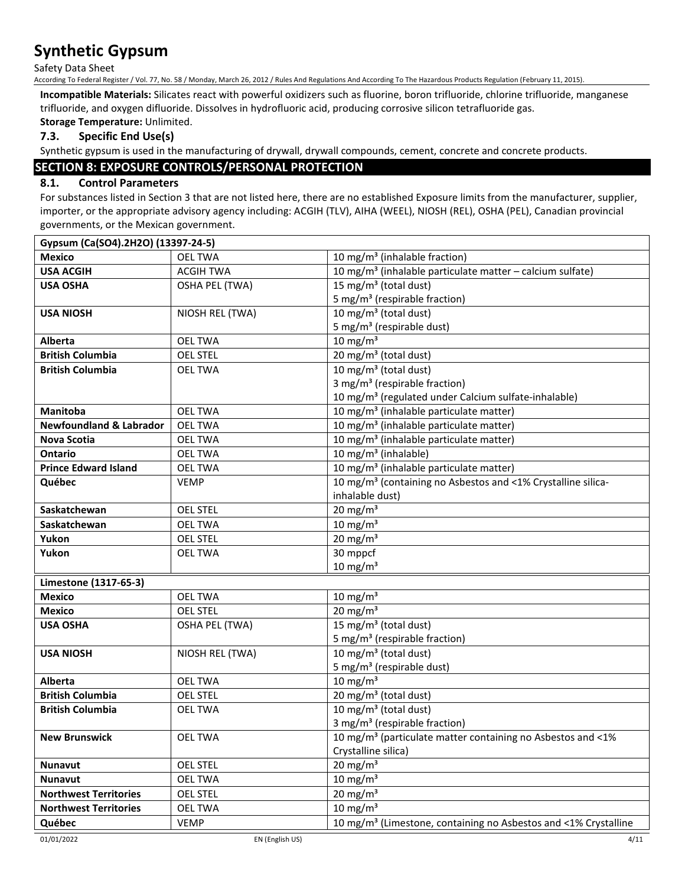Safety Data Sheet

According To Federal Register / Vol. 77, No. 58 / Monday, March 26, 2012 / Rules And Regulations And According To The Hazardous Products Regulation (February 11, 2015).

**Incompatible Materials:** Silicates react with powerful oxidizers such as fluorine, boron trifluoride, chlorine trifluoride, manganese trifluoride, and oxygen difluoride. Dissolves in hydrofluoric acid, producing corrosive silicon tetrafluoride gas.

**Storage Temperature:** Unlimited.

## **7.3. Specific End Use(s)**

Synthetic gypsum is used in the manufacturing of drywall, drywall compounds, cement, concrete and concrete products.

## **SECTION 8: EXPOSURE CONTROLS/PERSONAL PROTECTION**

## **8.1. Control Parameters**

For substances listed in Section 3 that are not listed here, there are no established Exposure limits from the manufacturer, supplier, importer, or the appropriate advisory agency including: ACGIH (TLV), AIHA (WEEL), NIOSH (REL), OSHA (PEL), Canadian provincial governments, or the Mexican government.

| Gypsum (Ca(SO4).2H2O) (13397-24-5) |                       |                                                                             |
|------------------------------------|-----------------------|-----------------------------------------------------------------------------|
| <b>Mexico</b>                      | <b>OEL TWA</b>        | 10 mg/m <sup>3</sup> (inhalable fraction)                                   |
| <b>USA ACGIH</b>                   | <b>ACGIH TWA</b>      | 10 mg/m <sup>3</sup> (inhalable particulate matter - calcium sulfate)       |
| <b>USA OSHA</b>                    | <b>OSHA PEL (TWA)</b> | 15 mg/m <sup>3</sup> (total dust)                                           |
|                                    |                       | 5 mg/m <sup>3</sup> (respirable fraction)                                   |
| <b>USA NIOSH</b>                   | NIOSH REL (TWA)       | 10 mg/m <sup>3</sup> (total dust)                                           |
|                                    |                       | 5 mg/m <sup>3</sup> (respirable dust)                                       |
| Alberta                            | <b>OEL TWA</b>        | 10 mg/m $3$                                                                 |
| <b>British Columbia</b>            | <b>OEL STEL</b>       | 20 mg/m <sup>3</sup> (total dust)                                           |
| <b>British Columbia</b>            | <b>OEL TWA</b>        | 10 mg/m <sup>3</sup> (total dust)                                           |
|                                    |                       | 3 mg/m <sup>3</sup> (respirable fraction)                                   |
|                                    |                       | 10 mg/m <sup>3</sup> (regulated under Calcium sulfate-inhalable)            |
| <b>Manitoba</b>                    | <b>OEL TWA</b>        | 10 mg/m <sup>3</sup> (inhalable particulate matter)                         |
| <b>Newfoundland &amp; Labrador</b> | <b>OEL TWA</b>        | 10 mg/m <sup>3</sup> (inhalable particulate matter)                         |
| <b>Nova Scotia</b>                 | <b>OEL TWA</b>        | 10 mg/m <sup>3</sup> (inhalable particulate matter)                         |
| <b>Ontario</b>                     | <b>OEL TWA</b>        | 10 mg/m <sup>3</sup> (inhalable)                                            |
| <b>Prince Edward Island</b>        | <b>OEL TWA</b>        | 10 mg/m <sup>3</sup> (inhalable particulate matter)                         |
| Québec                             | <b>VEMP</b>           | 10 mg/m <sup>3</sup> (containing no Asbestos and <1% Crystalline silica-    |
|                                    |                       | inhalable dust)                                                             |
| Saskatchewan                       | <b>OEL STEL</b>       | 20 mg/m $3$                                                                 |
| Saskatchewan                       | <b>OEL TWA</b>        | 10 mg/m $3$                                                                 |
| Yukon                              | <b>OEL STEL</b>       | 20 mg/m $3$                                                                 |
| Yukon                              | <b>OEL TWA</b>        | 30 mppcf                                                                    |
|                                    |                       | $10 \text{ mg/m}^3$                                                         |
| Limestone (1317-65-3)              |                       |                                                                             |
| <b>Mexico</b>                      | <b>OEL TWA</b>        | 10 mg/m $3$                                                                 |
| <b>Mexico</b>                      | <b>OEL STEL</b>       | 20 mg/m $3$                                                                 |
| <b>USA OSHA</b>                    | OSHA PEL (TWA)        | 15 mg/m <sup>3</sup> (total dust)                                           |
|                                    |                       | 5 mg/m <sup>3</sup> (respirable fraction)                                   |
| <b>USA NIOSH</b>                   | NIOSH REL (TWA)       | 10 mg/m <sup>3</sup> (total dust)                                           |
|                                    |                       | 5 mg/m <sup>3</sup> (respirable dust)                                       |
| Alberta                            | <b>OEL TWA</b>        | 10 mg/m $3$                                                                 |
| <b>British Columbia</b>            | <b>OEL STEL</b>       | 20 mg/m <sup>3</sup> (total dust)                                           |
| <b>British Columbia</b>            | <b>OEL TWA</b>        | 10 mg/m <sup>3</sup> (total dust)                                           |
|                                    |                       | 3 mg/m <sup>3</sup> (respirable fraction)                                   |
| <b>New Brunswick</b>               | <b>OEL TWA</b>        | 10 mg/m <sup>3</sup> (particulate matter containing no Asbestos and <1%     |
|                                    |                       | Crystalline silica)                                                         |
| <b>Nunavut</b>                     | <b>OEL STEL</b>       | $20 \text{ mg/m}^3$                                                         |
| <b>Nunavut</b>                     | <b>OEL TWA</b>        | $10 \text{ mg/m}^3$                                                         |
| <b>Northwest Territories</b>       | OEL STEL              | 20 mg/m $3$                                                                 |
| <b>Northwest Territories</b>       | <b>OEL TWA</b>        | 10 mg/m $3$                                                                 |
| Québec                             | <b>VEMP</b>           | 10 mg/m <sup>3</sup> (Limestone, containing no Asbestos and <1% Crystalline |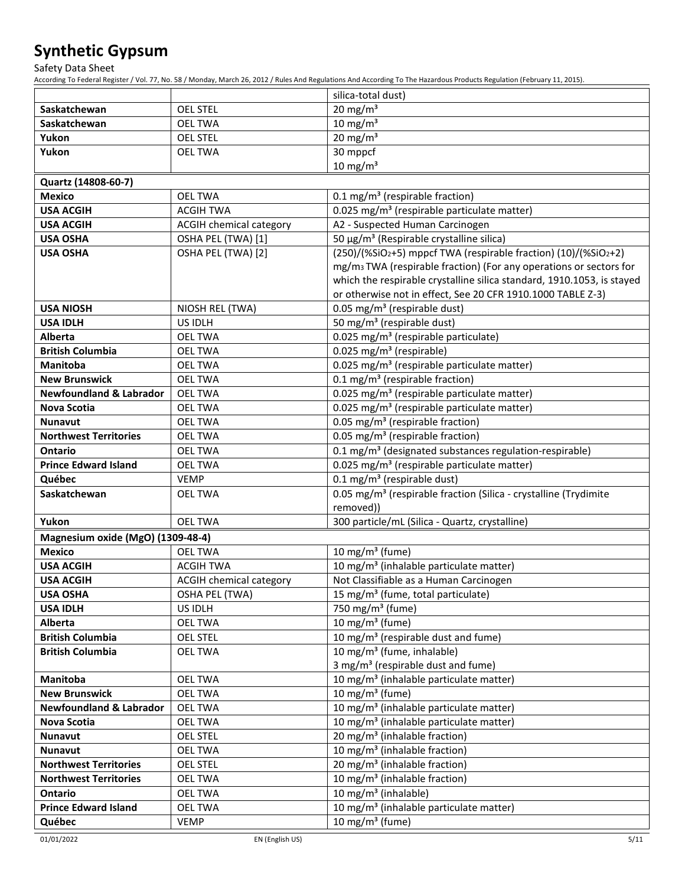Safety Data Sheet

According To Federal Register / Vol. 77, No. 58 / Monday, March 26, 2012 / Rules And Regulations And According To The Hazardous Products Regulation (February 11, 2015).

|                                    |                         | silica-total dust)                                                                        |
|------------------------------------|-------------------------|-------------------------------------------------------------------------------------------|
| Saskatchewan                       | <b>OEL STEL</b>         | 20 mg/m $3$                                                                               |
| Saskatchewan                       | <b>OEL TWA</b>          | 10 mg/m $3$                                                                               |
| Yukon                              | <b>OEL STEL</b>         | 20 mg/m $3$                                                                               |
| Yukon                              | <b>OEL TWA</b>          | 30 mppcf                                                                                  |
|                                    |                         | $10 \text{ mg/m}^3$                                                                       |
| Quartz (14808-60-7)                |                         |                                                                                           |
| <b>Mexico</b>                      | <b>OEL TWA</b>          | 0.1 mg/m <sup>3</sup> (respirable fraction)                                               |
| <b>USA ACGIH</b>                   | <b>ACGIH TWA</b>        | 0.025 mg/m <sup>3</sup> (respirable particulate matter)                                   |
| <b>USA ACGIH</b>                   | ACGIH chemical category | A2 - Suspected Human Carcinogen                                                           |
| <b>USA OSHA</b>                    | OSHA PEL (TWA) [1]      | 50 μg/m <sup>3</sup> (Respirable crystalline silica)                                      |
| <b>USA OSHA</b>                    | OSHA PEL (TWA) [2]      | (250)/(%SiO2+5) mppcf TWA (respirable fraction) (10)/(%SiO2+2)                            |
|                                    |                         | mg/m <sub>3</sub> TWA (respirable fraction) (For any operations or sectors for            |
|                                    |                         | which the respirable crystalline silica standard, 1910.1053, is stayed                    |
|                                    |                         | or otherwise not in effect, See 20 CFR 1910.1000 TABLE Z-3)                               |
| <b>USA NIOSH</b>                   | NIOSH REL (TWA)         | 0.05 mg/m <sup>3</sup> (respirable dust)                                                  |
| <b>USA IDLH</b>                    | US IDLH                 | 50 mg/m <sup>3</sup> (respirable dust)                                                    |
| Alberta                            | <b>OEL TWA</b>          | 0.025 mg/m <sup>3</sup> (respirable particulate)                                          |
| <b>British Columbia</b>            | <b>OEL TWA</b>          | 0.025 mg/m <sup>3</sup> (respirable)                                                      |
| <b>Manitoba</b>                    | <b>OEL TWA</b>          | 0.025 mg/m <sup>3</sup> (respirable particulate matter)                                   |
| <b>New Brunswick</b>               | <b>OEL TWA</b>          | 0.1 mg/m <sup>3</sup> (respirable fraction)                                               |
| <b>Newfoundland &amp; Labrador</b> | <b>OEL TWA</b>          | 0.025 mg/m <sup>3</sup> (respirable particulate matter)                                   |
| Nova Scotia                        | <b>OEL TWA</b>          | 0.025 mg/m <sup>3</sup> (respirable particulate matter)                                   |
| <b>Nunavut</b>                     | <b>OEL TWA</b>          | 0.05 mg/m <sup>3</sup> (respirable fraction)                                              |
| <b>Northwest Territories</b>       | <b>OEL TWA</b>          | 0.05 mg/m <sup>3</sup> (respirable fraction)                                              |
| <b>Ontario</b>                     | <b>OEL TWA</b>          | 0.1 mg/m <sup>3</sup> (designated substances regulation-respirable)                       |
| <b>Prince Edward Island</b>        | <b>OEL TWA</b>          | 0.025 mg/m <sup>3</sup> (respirable particulate matter)                                   |
| Québec                             | <b>VEMP</b>             | 0.1 mg/m <sup>3</sup> (respirable dust)                                                   |
| Saskatchewan                       | <b>OEL TWA</b>          | 0.05 mg/m <sup>3</sup> (respirable fraction (Silica - crystalline (Trydimite              |
|                                    |                         | removed))                                                                                 |
| Yukon                              | <b>OEL TWA</b>          | 300 particle/mL (Silica - Quartz, crystalline)                                            |
| Magnesium oxide (MgO) (1309-48-4)  |                         |                                                                                           |
| <b>Mexico</b>                      | <b>OEL TWA</b>          | 10 mg/m $3$ (fume)                                                                        |
| <b>USA ACGIH</b>                   | <b>ACGIH TWA</b>        | 10 mg/m <sup>3</sup> (inhalable particulate matter)                                       |
| <b>USA ACGIH</b>                   | ACGIH chemical category | Not Classifiable as a Human Carcinogen                                                    |
| <b>USA OSHA</b>                    | <b>OSHA PEL (TWA)</b>   | 15 mg/m <sup>3</sup> (fume, total particulate)                                            |
| <b>USA IDLH</b>                    | US IDLH                 | 750 mg/m <sup>3</sup> (fume)                                                              |
| Alberta                            | <b>OEL TWA</b>          | 10 mg/m $3$ (fume)                                                                        |
| <b>British Columbia</b>            | <b>OEL STEL</b>         | 10 mg/m <sup>3</sup> (respirable dust and fume)<br>10 mg/m <sup>3</sup> (fume, inhalable) |
| <b>British Columbia</b>            | <b>OEL TWA</b>          | 3 mg/m <sup>3</sup> (respirable dust and fume)                                            |
| Manitoba                           | <b>OEL TWA</b>          | 10 mg/m <sup>3</sup> (inhalable particulate matter)                                       |
| <b>New Brunswick</b>               | <b>OEL TWA</b>          | 10 mg/m <sup>3</sup> (fume)                                                               |
| <b>Newfoundland &amp; Labrador</b> | <b>OEL TWA</b>          | 10 mg/m <sup>3</sup> (inhalable particulate matter)                                       |
| <b>Nova Scotia</b>                 | <b>OEL TWA</b>          | 10 mg/m <sup>3</sup> (inhalable particulate matter)                                       |
| <b>Nunavut</b>                     | <b>OEL STEL</b>         | 20 mg/m <sup>3</sup> (inhalable fraction)                                                 |
| <b>Nunavut</b>                     | <b>OEL TWA</b>          | $\overline{10}$ mg/m <sup>3</sup> (inhalable fraction)                                    |
| <b>Northwest Territories</b>       | <b>OEL STEL</b>         | 20 mg/m <sup>3</sup> (inhalable fraction)                                                 |
| <b>Northwest Territories</b>       | <b>OEL TWA</b>          | 10 mg/m <sup>3</sup> (inhalable fraction)                                                 |
| Ontario                            | <b>OEL TWA</b>          | 10 mg/m <sup>3</sup> (inhalable)                                                          |
| <b>Prince Edward Island</b>        | <b>OEL TWA</b>          | 10 mg/m <sup>3</sup> (inhalable particulate matter)                                       |
| Québec                             | <b>VEMP</b>             | 10 mg/m <sup>3</sup> (fume)                                                               |
|                                    |                         |                                                                                           |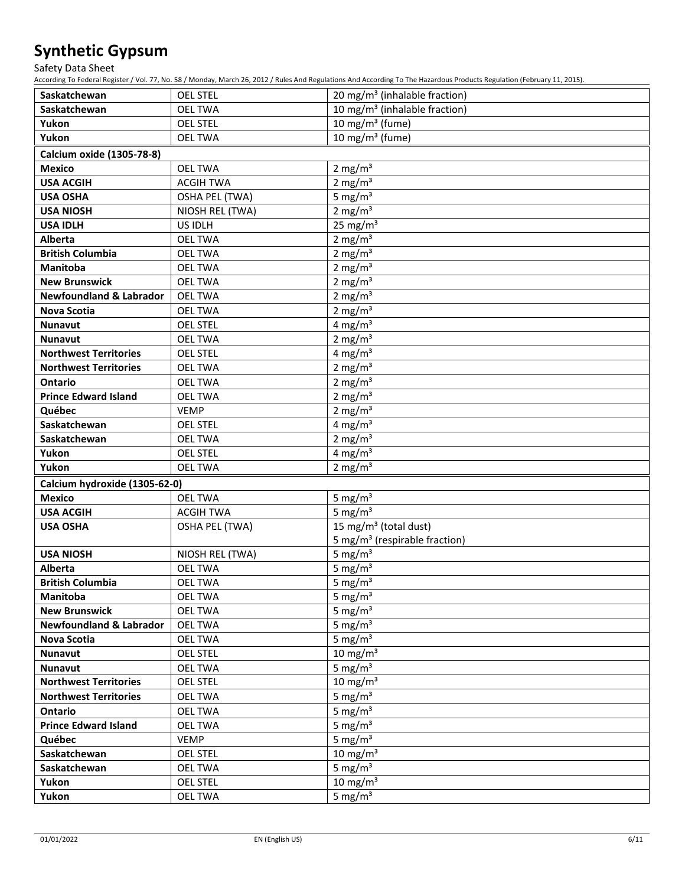Safety Data Sheet

According To Federal Register / Vol. 77, No. 58 / Monday, March 26, 2012 / Rules And Regulations And According To The Hazardous Products Regulation (February 11, 2015).

| Saskatchewan                       | <b>OEL STEL</b>                   | 20 mg/m <sup>3</sup> (inhalable fraction) |  |  |  |  |
|------------------------------------|-----------------------------------|-------------------------------------------|--|--|--|--|
| Saskatchewan                       | <b>OEL TWA</b>                    | 10 mg/m <sup>3</sup> (inhalable fraction) |  |  |  |  |
| Yukon                              | <b>OEL STEL</b>                   | 10 mg/m $3$ (fume)                        |  |  |  |  |
| Yukon                              | <b>OEL TWA</b>                    | 10 mg/m $3$ (fume)                        |  |  |  |  |
| Calcium oxide (1305-78-8)          |                                   |                                           |  |  |  |  |
| <b>Mexico</b>                      | <b>OEL TWA</b>                    | 2 mg/ $m3$                                |  |  |  |  |
| <b>USA ACGIH</b>                   | <b>ACGIH TWA</b>                  | 2 mg/ $m3$                                |  |  |  |  |
| <b>USA OSHA</b>                    | <b>OSHA PEL (TWA)</b>             | 5 mg/ $m3$                                |  |  |  |  |
| <b>USA NIOSH</b>                   | NIOSH REL (TWA)                   | 2 mg/ $m3$                                |  |  |  |  |
| <b>USA IDLH</b>                    | US IDLH                           | 25 mg/ $m3$                               |  |  |  |  |
| Alberta                            | <b>OEL TWA</b>                    | 2 mg/ $m3$                                |  |  |  |  |
| <b>British Columbia</b>            | <b>OEL TWA</b>                    | 2 mg/ $m3$                                |  |  |  |  |
| <b>Manitoba</b>                    | <b>OEL TWA</b>                    | 2 mg/ $m3$                                |  |  |  |  |
| <b>New Brunswick</b>               | <b>OEL TWA</b>                    | 2 mg/ $m3$                                |  |  |  |  |
| <b>Newfoundland &amp; Labrador</b> | <b>OEL TWA</b>                    | 2 mg/ $m3$                                |  |  |  |  |
| Nova Scotia                        | <b>OEL TWA</b>                    | 2 mg/ $m3$                                |  |  |  |  |
| <b>Nunavut</b>                     | <b>OEL STEL</b>                   | 4 mg/ $m3$                                |  |  |  |  |
| <b>Nunavut</b>                     | <b>OEL TWA</b>                    | 2 mg/ $m3$                                |  |  |  |  |
| <b>Northwest Territories</b>       | <b>OEL STEL</b>                   | 4 mg/ $m3$                                |  |  |  |  |
| <b>Northwest Territories</b>       | <b>OEL TWA</b>                    | 2 mg/ $m3$                                |  |  |  |  |
| <b>Ontario</b>                     | <b>OEL TWA</b>                    | 2 mg/ $m3$                                |  |  |  |  |
| <b>Prince Edward Island</b>        | <b>OEL TWA</b>                    | 2 mg/ $m3$                                |  |  |  |  |
| Québec                             | <b>VEMP</b>                       | 2 mg/ $m3$                                |  |  |  |  |
| Saskatchewan                       | <b>OEL STEL</b>                   | 4 mg/ $m3$                                |  |  |  |  |
| Saskatchewan                       | <b>OEL TWA</b>                    | 2 mg/ $m3$                                |  |  |  |  |
| Yukon                              | <b>OEL STEL</b>                   | 4 mg/ $m3$                                |  |  |  |  |
| Yukon                              | <b>OEL TWA</b>                    | 2 mg/ $m3$                                |  |  |  |  |
| Calcium hydroxide (1305-62-0)      |                                   |                                           |  |  |  |  |
| <b>Mexico</b>                      | <b>OEL TWA</b>                    | 5 mg/ $m3$                                |  |  |  |  |
| <b>USA ACGIH</b>                   | <b>ACGIH TWA</b>                  | 5 mg/ $m3$                                |  |  |  |  |
| <b>USA OSHA</b>                    | <b>OSHA PEL (TWA)</b>             | 15 mg/m <sup>3</sup> (total dust)         |  |  |  |  |
|                                    |                                   | 5 mg/m <sup>3</sup> (respirable fraction) |  |  |  |  |
| <b>USA NIOSH</b>                   | NIOSH REL (TWA)                   | 5 mg/ $m3$                                |  |  |  |  |
| Alberta                            | <b>OEL TWA</b>                    | 5 mg/ $m3$                                |  |  |  |  |
| <b>British Columbia</b>            | <b>OEL TWA</b>                    | 5 mg/ $m3$                                |  |  |  |  |
| Manitoba                           | <b>OEL TWA</b>                    | 5 mg/ $m3$                                |  |  |  |  |
| <b>New Brunswick</b>               | <b>OEL TWA</b>                    | 5 mg/ $m3$                                |  |  |  |  |
| <b>Newfoundland &amp; Labrador</b> | <b>OEL TWA</b>                    | 5 mg/ $m3$                                |  |  |  |  |
| Nova Scotia                        | <b>OEL TWA</b>                    | 5 mg/ $m3$                                |  |  |  |  |
| <b>Nunavut</b>                     | <b>OEL STEL</b>                   | 10 mg/m $3$                               |  |  |  |  |
| <b>Nunavut</b>                     | <b>OEL TWA</b>                    | 5 mg/m $\frac{1}{3}$                      |  |  |  |  |
| <b>Northwest Territories</b>       | <b>OEL STEL</b>                   | 10 mg/m $3$                               |  |  |  |  |
| <b>Northwest Territories</b>       | <b>OEL TWA</b>                    | 5 mg/ $m3$                                |  |  |  |  |
| Ontario                            | <b>OEL TWA</b>                    | 5 mg/ $m3$                                |  |  |  |  |
| <b>Prince Edward Island</b>        | <b>OEL TWA</b>                    | 5 mg/ $m3$                                |  |  |  |  |
| Québec                             | <b>VEMP</b>                       | 5 mg/ $m3$                                |  |  |  |  |
| Saskatchewan                       | <b>OEL STEL</b>                   | 10 mg/m $3$                               |  |  |  |  |
| Saskatchewan<br>Yukon              | <b>OEL TWA</b><br><b>OEL STEL</b> | 5 mg/ $m3$<br>10 mg/m $3$                 |  |  |  |  |
| Yukon                              | <b>OEL TWA</b>                    | 5 mg/ $m3$                                |  |  |  |  |
|                                    |                                   |                                           |  |  |  |  |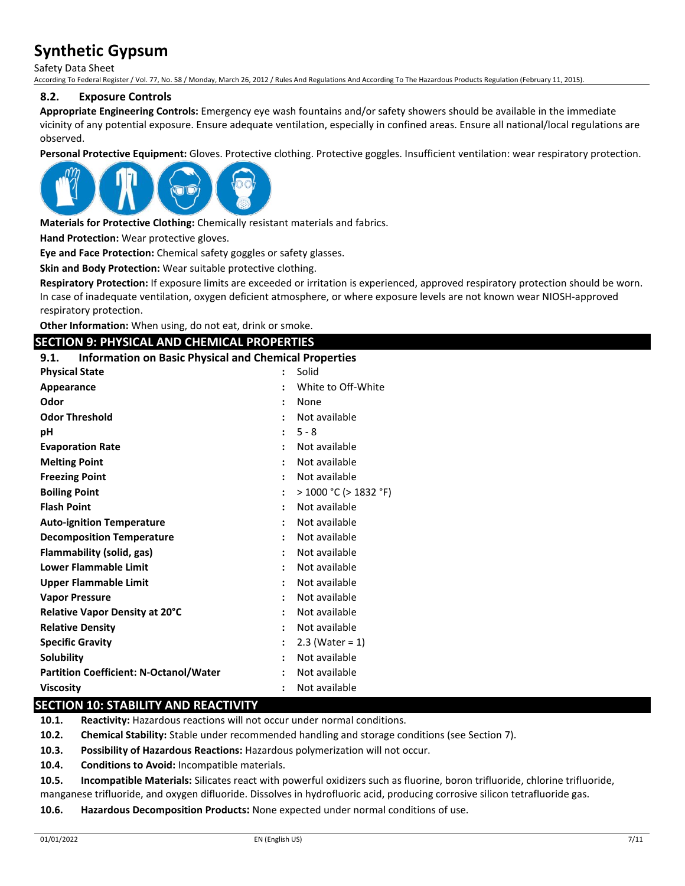Safety Data Sheet

According To Federal Register / Vol. 77, No. 58 / Monday, March 26, 2012 / Rules And Regulations And According To The Hazardous Products Regulation (February 11, 2015).

### **8.2. Exposure Controls**

**Appropriate Engineering Controls:** Emergency eye wash fountains and/or safety showers should be available in the immediate vicinity of any potential exposure. Ensure adequate ventilation, especially in confined areas. Ensure all national/local regulations are observed.

**Personal Protective Equipment:** Gloves. Protective clothing. Protective goggles. Insufficient ventilation: wear respiratory protection.



**Materials for Protective Clothing:** Chemically resistant materials and fabrics.

**Hand Protection:** Wear protective gloves.

**Eye and Face Protection:** Chemical safety goggles or safety glasses.

**Skin and Body Protection:** Wear suitable protective clothing.

**Respiratory Protection:** If exposure limits are exceeded or irritation is experienced, approved respiratory protection should be worn. In case of inadequate ventilation, oxygen deficient atmosphere, or where exposure levels are not known wear NIOSH-approved respiratory protection.

**Other Information:** When using, do not eat, drink or smoke.

### **SECTION 9: PHYSICAL AND CHEMICAL PROPERTIES**

#### **9.1. Information on Basic Physical and Chemical Properties**

| <b>Physical State</b>                         | $\ddot{\cdot}$ | Solid                 |
|-----------------------------------------------|----------------|-----------------------|
| Appearance                                    |                | White to Off-White    |
| Odor                                          | $\ddot{\cdot}$ | None                  |
| <b>Odor Threshold</b>                         |                | Not available         |
| рH                                            | ÷              | $5 - 8$               |
| <b>Evaporation Rate</b>                       | ÷              | Not available         |
| <b>Melting Point</b>                          |                | Not available         |
| <b>Freezing Point</b>                         |                | Not available         |
| <b>Boiling Point</b>                          |                | > 1000 °C (> 1832 °F) |
| <b>Flash Point</b>                            |                | Not available         |
| <b>Auto-ignition Temperature</b>              |                | Not available         |
| <b>Decomposition Temperature</b>              |                | Not available         |
| <b>Flammability (solid, gas)</b>              |                | Not available         |
| <b>Lower Flammable Limit</b>                  |                | Not available         |
| <b>Upper Flammable Limit</b>                  |                | Not available         |
| <b>Vapor Pressure</b>                         |                | Not available         |
| Relative Vapor Density at 20°C                |                | Not available         |
| <b>Relative Density</b>                       |                | Not available         |
| <b>Specific Gravity</b>                       |                | $2.3$ (Water = 1)     |
| <b>Solubility</b>                             |                | Not available         |
| <b>Partition Coefficient: N-Octanol/Water</b> |                | Not available         |
| <b>Viscosity</b>                              |                | Not available         |

## **SECTION 10: STABILITY AND REACTIVITY**

**10.1. Reactivity:** Hazardous reactions will not occur under normal conditions.

**10.2. Chemical Stability:** Stable under recommended handling and storage conditions (see Section 7).

**10.3. Possibility of Hazardous Reactions:** Hazardous polymerization will not occur.

**10.4. Conditions to Avoid:** Incompatible materials.

**10.5. Incompatible Materials:** Silicates react with powerful oxidizers such as fluorine, boron trifluoride, chlorine trifluoride,

manganese trifluoride, and oxygen difluoride. Dissolves in hydrofluoric acid, producing corrosive silicon tetrafluoride gas.

**10.6. Hazardous Decomposition Products:** None expected under normal conditions of use.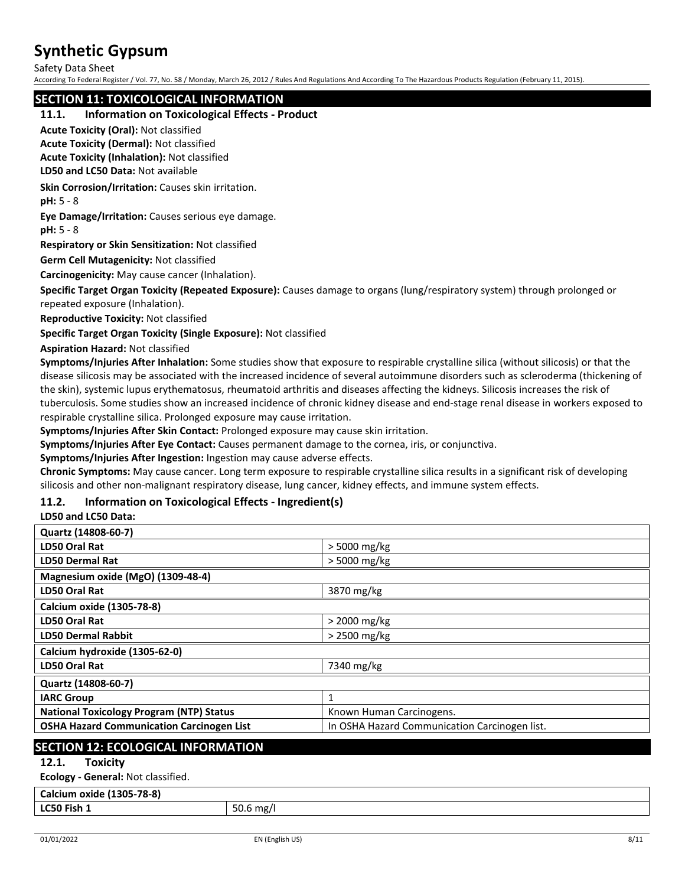Safety Data Sheet

According To Federal Register / Vol. 77, No. 58 / Monday, March 26, 2012 / Rules And Regulations And According To The Hazardous Products Regulation (February 11, 2015).

## **SECTION 11: TOXICOLOGICAL INFORMATION**

### **11.1. Information on Toxicological Effects - Product**

**Acute Toxicity (Oral):** Not classified

**Acute Toxicity (Dermal):** Not classified **Acute Toxicity (Inhalation):** Not classified

**LD50 and LC50 Data:** Not available

**Skin Corrosion/Irritation:** Causes skin irritation.

**pH:** 5 - 8

**Eye Damage/Irritation:** Causes serious eye damage.

**pH:** 5 - 8

**Respiratory or Skin Sensitization:** Not classified

**Germ Cell Mutagenicity:** Not classified

**Carcinogenicity:** May cause cancer (Inhalation).

**Specific Target Organ Toxicity (Repeated Exposure):** Causes damage to organs (lung/respiratory system) through prolonged or repeated exposure (Inhalation).

**Reproductive Toxicity:** Not classified

**Specific Target Organ Toxicity (Single Exposure):** Not classified

**Aspiration Hazard:** Not classified

**Symptoms/Injuries After Inhalation:** Some studies show that exposure to respirable crystalline silica (without silicosis) or that the disease silicosis may be associated with the increased incidence of several autoimmune disorders such as scleroderma (thickening of the skin), systemic lupus erythematosus, rheumatoid arthritis and diseases affecting the kidneys. Silicosis increases the risk of tuberculosis. Some studies show an increased incidence of chronic kidney disease and end-stage renal disease in workers exposed to respirable crystalline silica. Prolonged exposure may cause irritation.

**Symptoms/Injuries After Skin Contact:** Prolonged exposure may cause skin irritation.

**Symptoms/Injuries After Eye Contact:** Causes permanent damage to the cornea, iris, or conjunctiva.

**Symptoms/Injuries After Ingestion:** Ingestion may cause adverse effects.

**Chronic Symptoms:** May cause cancer. Long term exposure to respirable crystalline silica results in a significant risk of developing silicosis and other non-malignant respiratory disease, lung cancer, kidney effects, and immune system effects.

## **11.2. Information on Toxicological Effects - Ingredient(s)**

**LD50 and LC50 Data:**

| Quartz (14808-60-7)                              |                                               |  |
|--------------------------------------------------|-----------------------------------------------|--|
| LD50 Oral Rat                                    | $>$ 5000 mg/kg                                |  |
| <b>LD50 Dermal Rat</b>                           | > 5000 mg/kg                                  |  |
| Magnesium oxide (MgO) (1309-48-4)                |                                               |  |
| LD50 Oral Rat                                    | 3870 mg/kg                                    |  |
| Calcium oxide (1305-78-8)                        |                                               |  |
| LD50 Oral Rat                                    | $>$ 2000 mg/kg                                |  |
| <b>LD50 Dermal Rabbit</b>                        | > 2500 mg/kg                                  |  |
| Calcium hydroxide (1305-62-0)                    |                                               |  |
| LD50 Oral Rat                                    | 7340 mg/kg                                    |  |
| Quartz (14808-60-7)                              |                                               |  |
| <b>IARC Group</b>                                | 1                                             |  |
| <b>National Toxicology Program (NTP) Status</b>  | Known Human Carcinogens.                      |  |
| <b>OSHA Hazard Communication Carcinogen List</b> | In OSHA Hazard Communication Carcinogen list. |  |
|                                                  |                                               |  |

### **SECTION 12: ECOLOGICAL INFORMATION**

### **12.1. Toxicity**

**Ecology - General:** Not classified.

## **Calcium oxide (1305-78-8)**

**LC50 Fish 1** 50.6 mg/l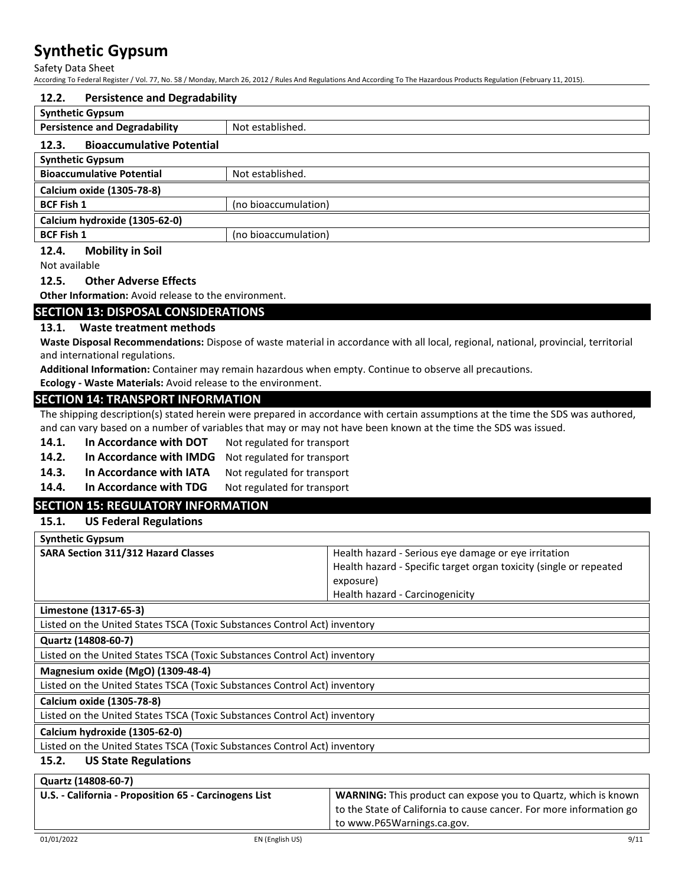Safety Data Sheet

According To Federal Register / Vol. 77, No. 58 / Monday, March 26, 2012 / Rules And Regulations And According To The Hazardous Products Regulation (February 11, 2015).

| 12.2.                                     | <b>Persistence and Degradability</b> |  |  |
|-------------------------------------------|--------------------------------------|--|--|
| <b>Synthetic Gypsum</b>                   |                                      |  |  |
| <b>Persistence and Degradability</b>      | Not established.                     |  |  |
| <b>Bioaccumulative Potential</b><br>12.3. |                                      |  |  |
| <b>Synthetic Gypsum</b>                   |                                      |  |  |
| <b>Bioaccumulative Potential</b>          | Not established.                     |  |  |
| Calcium oxide (1305-78-8)                 |                                      |  |  |
| <b>BCF Fish 1</b>                         | (no bioaccumulation)                 |  |  |
| Calcium hydroxide (1305-62-0)             |                                      |  |  |
| <b>BCF Fish 1</b>                         | (no bioaccumulation)                 |  |  |

### **12.4. Mobility in Soil**

Not available

#### **12.5. Other Adverse Effects**

**Other Information:** Avoid release to the environment.

## **SECTION 13: DISPOSAL CONSIDERATIONS**

#### **13.1. Waste treatment methods**

**Waste Disposal Recommendations:** Dispose of waste material in accordance with all local, regional, national, provincial, territorial and international regulations.

**Additional Information:** Container may remain hazardous when empty. Continue to observe all precautions.

**Ecology - Waste Materials:** Avoid release to the environment.

#### **SECTION 14: TRANSPORT INFORMATION**

The shipping description(s) stated herein were prepared in accordance with certain assumptions at the time the SDS was authored, and can vary based on a number of variables that may or may not have been known at the time the SDS was issued.

- 14.1. In Accordance with DOT Not regulated for transport
- **14.2.** In Accordance with IMDG Not regulated for transport
- 14.3. In Accordance with IATA Not regulated for transport
- 14.4. In Accordance with TDG Not regulated for transport

## **SECTION 15: REGULATORY INFORMATION**

#### **15.1. US Federal Regulations**

| <b>Synthetic Gypsum</b>                    |                                                                    |
|--------------------------------------------|--------------------------------------------------------------------|
| <b>SARA Section 311/312 Hazard Classes</b> | Health hazard - Serious eye damage or eye irritation               |
|                                            | Health hazard - Specific target organ toxicity (single or repeated |
|                                            | exposure)                                                          |
|                                            | Health hazard - Carcinogenicity                                    |
| Limestone (1317-65-3)                      |                                                                    |

Listed on the United States TSCA (Toxic Substances Control Act) inventory

**Quartz (14808-60-7)**

Listed on the United States TSCA (Toxic Substances Control Act) inventory

## **Magnesium oxide (MgO) (1309-48-4)**

Listed on the United States TSCA (Toxic Substances Control Act) inventory

## **Calcium oxide (1305-78-8)**

Listed on the United States TSCA (Toxic Substances Control Act) inventory

## **Calcium hydroxide (1305-62-0)**

Listed on the United States TSCA (Toxic Substances Control Act) inventory

## **15.2. US State Regulations**

| Quartz (14808-60-7)                                   |                                                                       |
|-------------------------------------------------------|-----------------------------------------------------------------------|
| U.S. - California - Proposition 65 - Carcinogens List | <b>WARNING:</b> This product can expose you to Quartz, which is known |
|                                                       | to the State of California to cause cancer. For more information go   |
|                                                       | to www.P65Warnings.ca.gov.                                            |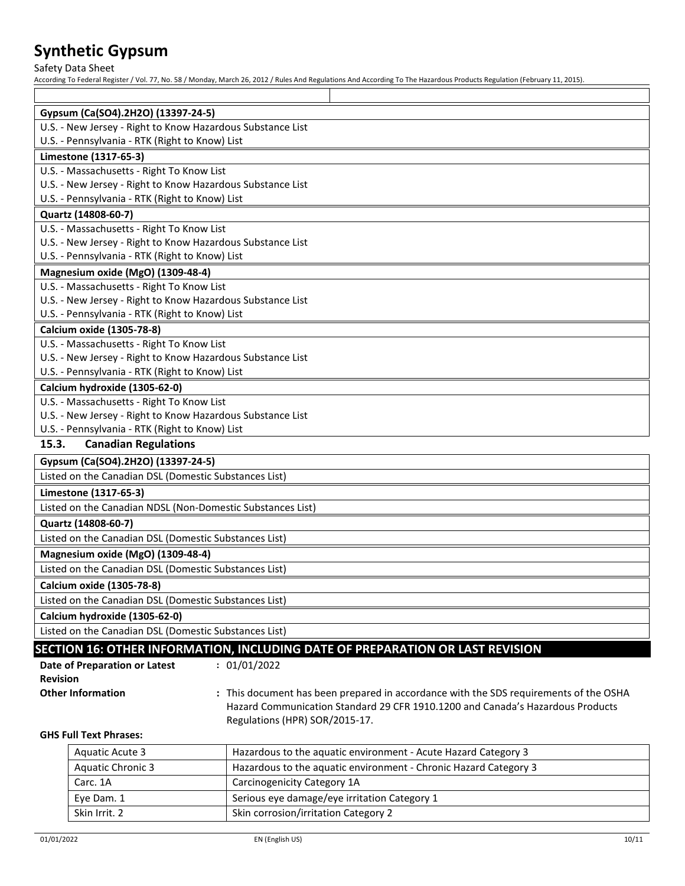Safety Data Sheet

According To Federal Register / Vol. 77, No. 58 / Monday, March 26, 2012 / Rules And Regulations And According To The Hazardous Products Regulation (February 11, 2015).

| Gypsum (Ca(SO4).2H2O) (13397-24-5)                         |                                                                                       |  |  |  |
|------------------------------------------------------------|---------------------------------------------------------------------------------------|--|--|--|
| U.S. - New Jersey - Right to Know Hazardous Substance List |                                                                                       |  |  |  |
| U.S. - Pennsylvania - RTK (Right to Know) List             |                                                                                       |  |  |  |
| Limestone (1317-65-3)                                      |                                                                                       |  |  |  |
| U.S. - Massachusetts - Right To Know List                  |                                                                                       |  |  |  |
| U.S. - New Jersey - Right to Know Hazardous Substance List |                                                                                       |  |  |  |
| U.S. - Pennsylvania - RTK (Right to Know) List             |                                                                                       |  |  |  |
| Quartz (14808-60-7)                                        |                                                                                       |  |  |  |
| U.S. - Massachusetts - Right To Know List                  |                                                                                       |  |  |  |
| U.S. - New Jersey - Right to Know Hazardous Substance List |                                                                                       |  |  |  |
| U.S. - Pennsylvania - RTK (Right to Know) List             |                                                                                       |  |  |  |
| Magnesium oxide (MgO) (1309-48-4)                          |                                                                                       |  |  |  |
| U.S. - Massachusetts - Right To Know List                  |                                                                                       |  |  |  |
| U.S. - New Jersey - Right to Know Hazardous Substance List |                                                                                       |  |  |  |
| U.S. - Pennsylvania - RTK (Right to Know) List             |                                                                                       |  |  |  |
| Calcium oxide (1305-78-8)                                  |                                                                                       |  |  |  |
| U.S. - Massachusetts - Right To Know List                  |                                                                                       |  |  |  |
| U.S. - New Jersey - Right to Know Hazardous Substance List |                                                                                       |  |  |  |
| U.S. - Pennsylvania - RTK (Right to Know) List             |                                                                                       |  |  |  |
| Calcium hydroxide (1305-62-0)                              |                                                                                       |  |  |  |
| U.S. - Massachusetts - Right To Know List                  |                                                                                       |  |  |  |
| U.S. - New Jersey - Right to Know Hazardous Substance List |                                                                                       |  |  |  |
| U.S. - Pennsylvania - RTK (Right to Know) List             |                                                                                       |  |  |  |
| 15.3.<br><b>Canadian Regulations</b>                       |                                                                                       |  |  |  |
| Gypsum (Ca(SO4).2H2O) (13397-24-5)                         |                                                                                       |  |  |  |
| Listed on the Canadian DSL (Domestic Substances List)      |                                                                                       |  |  |  |
| Limestone (1317-65-3)                                      |                                                                                       |  |  |  |
| Listed on the Canadian NDSL (Non-Domestic Substances List) |                                                                                       |  |  |  |
| Quartz (14808-60-7)                                        |                                                                                       |  |  |  |
| Listed on the Canadian DSL (Domestic Substances List)      |                                                                                       |  |  |  |
| Magnesium oxide (MgO) (1309-48-4)                          |                                                                                       |  |  |  |
| Listed on the Canadian DSL (Domestic Substances List)      |                                                                                       |  |  |  |
| Calcium oxide (1305-78-8)                                  |                                                                                       |  |  |  |
| Listed on the Canadian DSL (Domestic Substances List)      |                                                                                       |  |  |  |
| Calcium hydroxide (1305-62-0)                              |                                                                                       |  |  |  |
| Listed on the Canadian DSL (Domestic Substances List)      |                                                                                       |  |  |  |
|                                                            | SECTION 16: OTHER INFORMATION, INCLUDING DATE OF PREPARATION OR LAST REVISION         |  |  |  |
| Date of Preparation or Latest                              | : 01/01/2022                                                                          |  |  |  |
| <b>Revision</b>                                            |                                                                                       |  |  |  |
| <b>Other Information</b>                                   | : This document has been prepared in accordance with the SDS requirements of the OSHA |  |  |  |
|                                                            | Hazard Communication Standard 29 CFR 1910.1200 and Canada's Hazardous Products        |  |  |  |
|                                                            | Regulations (HPR) SOR/2015-17.                                                        |  |  |  |
| <b>GHS Full Text Phrases:</b>                              |                                                                                       |  |  |  |
| Aquatic Acute 2                                            | Hazardous to the aquatic environment - Acute Hazard Category 3                        |  |  |  |

| Aquatic Acute 3          | Hazardous to the aquatic environment - Acute Hazard Category 3   |
|--------------------------|------------------------------------------------------------------|
| <b>Aquatic Chronic 3</b> | Hazardous to the aquatic environment - Chronic Hazard Category 3 |
| Carc. 1A                 | Carcinogenicity Category 1A                                      |
| Eye Dam. 1               | Serious eye damage/eye irritation Category 1                     |
| Skin Irrit, 2            | Skin corrosion/irritation Category 2                             |